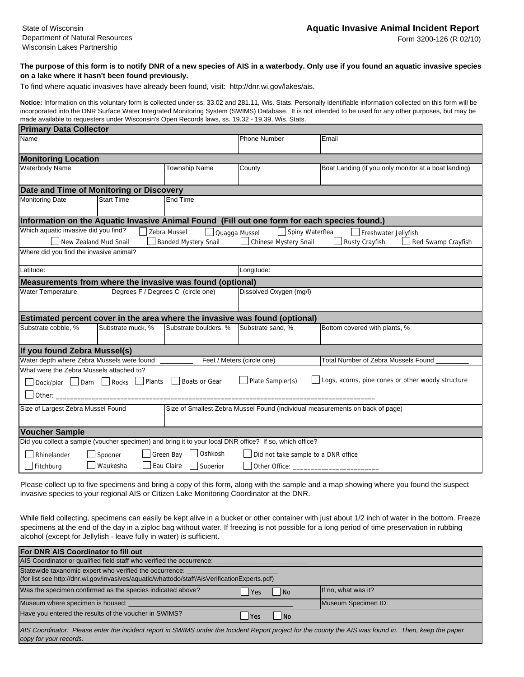Form 3200-126 (R 02/10)

## **The purpose of this form is to notify DNR of a new species of AIS in a waterbody. Only use if you found an aquatic invasive species on a lake where it hasn't been found previously.**

To find where aquatic invasives have already been found, visit: http://dnr.wi.gov/lakes/ais.

**Notice:** Information on this voluntary form is collected under ss. 33.02 and 281.11, Wis. Stats. Personally identifiable information collected on this form will be incorporated into the DNR Surface Water Integrated Monitoring System (SWIMS) Database. It is not intended to be used for any other purposes, but may be made available to requesters under Wisconsin's Open Records laws, ss. 19.32 - 19.39, Wis. Stats.

| <b>Primary Data Collector</b>                                                                                                                                                                                                      |                                  |                       |                            |                                                      |  |  |
|------------------------------------------------------------------------------------------------------------------------------------------------------------------------------------------------------------------------------------|----------------------------------|-----------------------|----------------------------|------------------------------------------------------|--|--|
| Name                                                                                                                                                                                                                               |                                  |                       | <b>Phone Number</b>        | Email                                                |  |  |
| <b>Monitoring Location</b>                                                                                                                                                                                                         |                                  |                       |                            |                                                      |  |  |
| Waterbody Name                                                                                                                                                                                                                     |                                  | <b>Township Name</b>  | County                     | Boat Landing (if you only monitor at a boat landing) |  |  |
| Date and Time of Monitoring or Discovery                                                                                                                                                                                           |                                  |                       |                            |                                                      |  |  |
| <b>Monitoring Date</b>                                                                                                                                                                                                             | <b>Start Time</b>                | End Time              |                            |                                                      |  |  |
| Information on the Aquatic Invasive Animal Found (Fill out one form for each species found.)                                                                                                                                       |                                  |                       |                            |                                                      |  |  |
| Which aquatic invasive did you find?<br>Zebra Mussel<br>Spiny Waterflea<br>Quagga Mussel<br>Freshwater Jellyfish<br>New Zealand Mud Snail<br>Banded Mystery Snail<br>Chinese Mystery Snail<br>Rusty Crayfish<br>Red Swamp Crayfish |                                  |                       |                            |                                                      |  |  |
| Where did you find the invasive animal?                                                                                                                                                                                            |                                  |                       |                            |                                                      |  |  |
| Latitude:                                                                                                                                                                                                                          |                                  |                       | Longitude:                 |                                                      |  |  |
| Measurements from where the invasive was found (optional)                                                                                                                                                                          |                                  |                       |                            |                                                      |  |  |
| Degrees F / Degrees C (circle one)<br><b>Water Temperature</b>                                                                                                                                                                     |                                  |                       | Dissolved Oxygen (mg/l)    |                                                      |  |  |
| Estimated percent cover in the area where the invasive was found (optional)                                                                                                                                                        |                                  |                       |                            |                                                      |  |  |
| Substrate cobble, %                                                                                                                                                                                                                | Substrate muck, %                | Substrate boulders, % | Substrate sand, %          | Bottom covered with plants, %                        |  |  |
| If you found Zebra Mussel(s)                                                                                                                                                                                                       |                                  |                       |                            |                                                      |  |  |
| Water depth where Zebra Mussels were found                                                                                                                                                                                         |                                  |                       | Feet / Meters (circle one) | Total Number of Zebra Mussels Found                  |  |  |
| What were the Zebra Mussels attached to?                                                                                                                                                                                           |                                  |                       |                            |                                                      |  |  |
| Other: $\_$                                                                                                                                                                                                                        | Dock/pier   Dam   Rocks   Plants | Boats or Gear         | $\Box$ Plate Sampler(s)    | Logs, acorns, pine cones or other woody structure    |  |  |
|                                                                                                                                                                                                                                    |                                  |                       |                            |                                                      |  |  |
| Size of Largest Zebra Mussel Found<br>Size of Smallest Zebra Mussel Found (individual measurements on back of page)                                                                                                                |                                  |                       |                            |                                                      |  |  |
| <b>Voucher Sample</b>                                                                                                                                                                                                              |                                  |                       |                            |                                                      |  |  |
| Did you collect a sample (voucher specimen) and bring it to your local DNR office? If so, which office?                                                                                                                            |                                  |                       |                            |                                                      |  |  |
| Green Bay   Oshkosh<br>Did not take sample to a DNR office<br>Rhinelander<br>Spooner                                                                                                                                               |                                  |                       |                            |                                                      |  |  |
| Waukesha<br>Eau Claire Superior<br>$\Box$ Fitchburg<br>Other Office: _                                                                                                                                                             |                                  |                       |                            |                                                      |  |  |

Please collect up to five specimens and bring a copy of this form, along with the sample and a map showing where you found the suspect invasive species to your regional AIS or Citizen Lake Monitoring Coordinator at the DNR.

While field collecting, specimens can easily be kept alive in a bucket or other container with just about 1/2 inch of water in the bottom. Freeze specimens at the end of the day in a ziploc bag without water. If freezing is not possible for a long period of time preservation in rubbing alcohol (except for Jellyfish - leave fully in water) is sufficient.

| For DNR AIS Coordinator to fill out                                                                                                                                              |                             |                     |  |  |  |  |
|----------------------------------------------------------------------------------------------------------------------------------------------------------------------------------|-----------------------------|---------------------|--|--|--|--|
| AIS Coordinator or qualified field staff who verified the occurrence:                                                                                                            |                             |                     |  |  |  |  |
| Statewide taxanomic expert who verified the occurrence:<br>(for list see http://dnr.wi.gov/invasives/aquatic/whattodo/staff/AisVerificationExperts.pdf)                          |                             |                     |  |  |  |  |
| Was the specimen confirmed as the species indicated above?<br>Yes                                                                                                                | $\overline{\phantom{a}}$ No | If no, what was it? |  |  |  |  |
| Museum where specimen is housed:                                                                                                                                                 |                             | Museum Specimen ID: |  |  |  |  |
| Have you entered the results of the voucher in SWIMS?<br>l Yes                                                                                                                   | l No                        |                     |  |  |  |  |
| AIS Coordinator: Please enter the incident report in SWIMS under the Incident Report project for the county the AIS was found in. Then, keep the paper<br>copy for your records. |                             |                     |  |  |  |  |